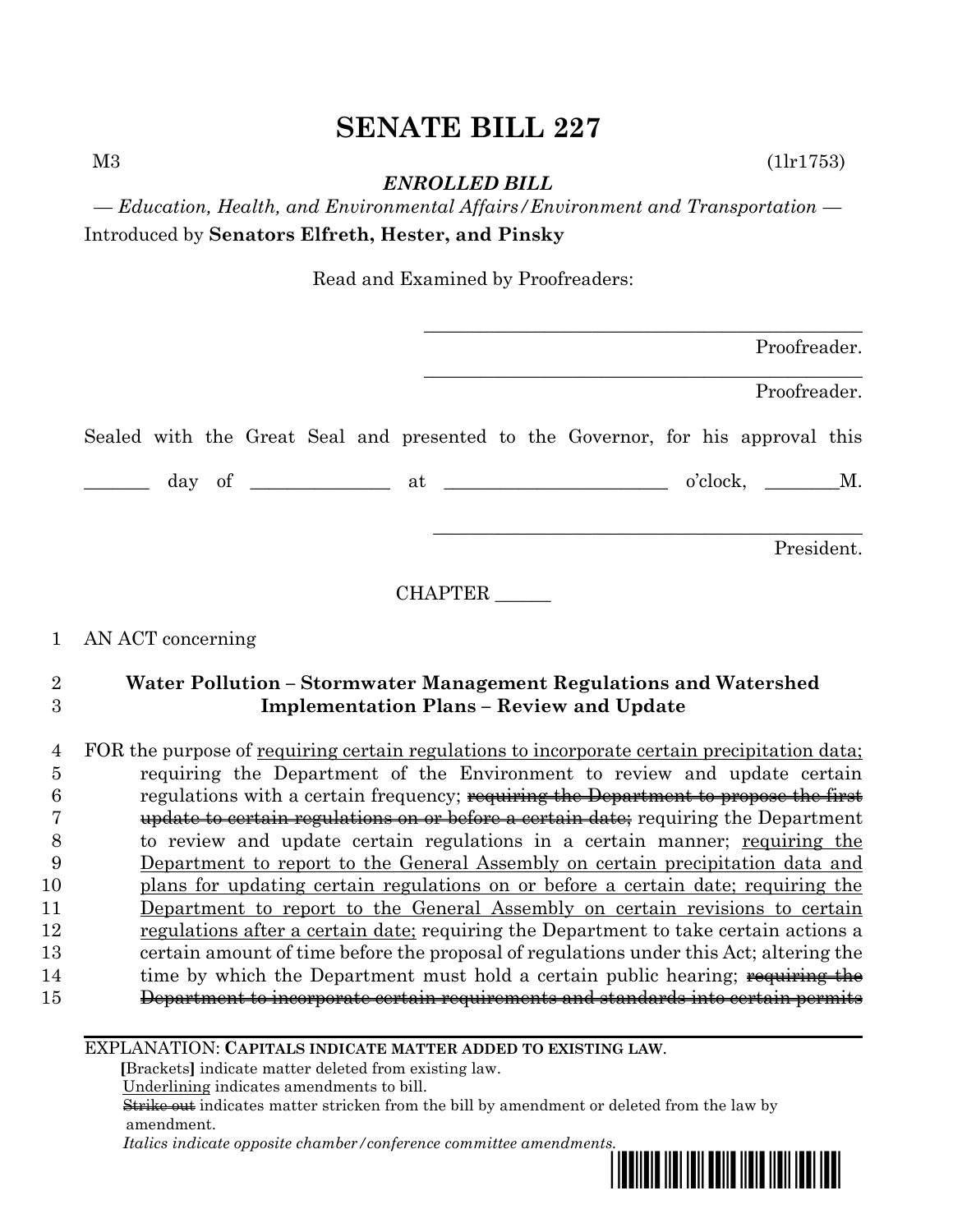$M3$  (1lr1753)

*ENROLLED BILL*

*— Education, Health, and Environmental Affairs/Environment and Transportation —* Introduced by **Senators Elfreth, Hester, and Pinsky**

Read and Examined by Proofreaders:

|  |  |  |  |                                                                                 |                  | Proofreader. |
|--|--|--|--|---------------------------------------------------------------------------------|------------------|--------------|
|  |  |  |  |                                                                                 |                  | Proofreader. |
|  |  |  |  | Sealed with the Great Seal and presented to the Governor, for his approval this |                  |              |
|  |  |  |  |                                                                                 | $o'clock, \t M.$ |              |
|  |  |  |  |                                                                                 |                  | President.   |

CHAPTER \_\_\_\_\_\_

# 1 AN ACT concerning

# 2 **Water Pollution – Stormwater Management Regulations and Watershed**  3 **Implementation Plans – Review and Update**

 FOR the purpose of requiring certain regulations to incorporate certain precipitation data; requiring the Department of the Environment to review and update certain regulations with a certain frequency; requiring the Department to propose the first **update to certain regulations on or before a certain date**; requiring the Department to review and update certain regulations in a certain manner; requiring the Department to report to the General Assembly on certain precipitation data and plans for updating certain regulations on or before a certain date; requiring the Department to report to the General Assembly on certain revisions to certain regulations after a certain date; requiring the Department to take certain actions a certain amount of time before the proposal of regulations under this Act; altering the 14 time by which the Department must hold a certain public hearing; requiring the Department to incorporate certain requirements and standards into certain permits

## EXPLANATION: **CAPITALS INDICATE MATTER ADDED TO EXISTING LAW**.

 **[**Brackets**]** indicate matter deleted from existing law.

Underlining indicates amendments to bill.

 Strike out indicates matter stricken from the bill by amendment or deleted from the law by amendment.

 *Italics indicate opposite chamber/conference committee amendments.*

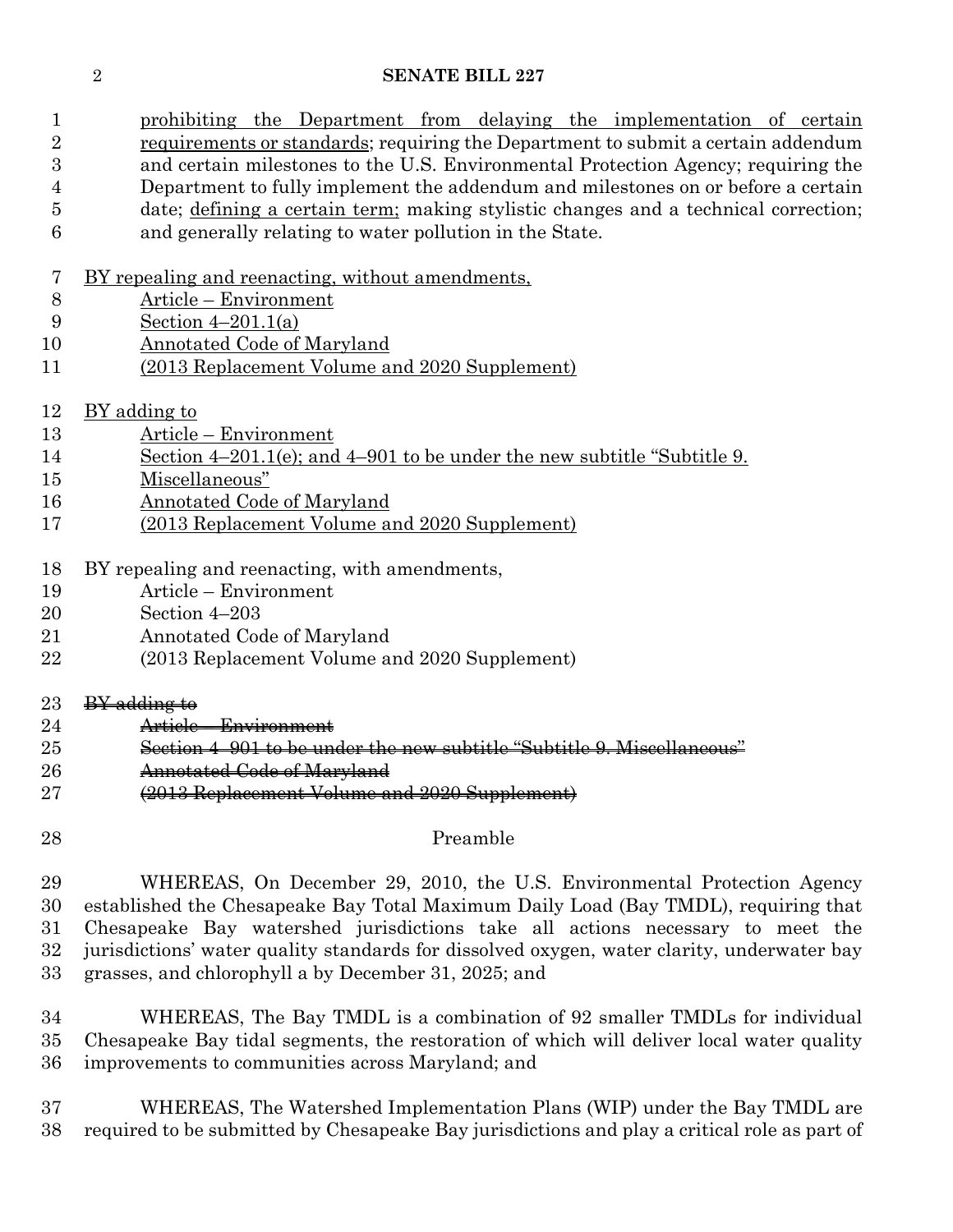1 prohibiting the Department from delaying the implementation of certain requirements or standards; requiring the Department to submit a certain addendum and certain milestones to the U.S. Environmental Protection Agency; requiring the Department to fully implement the addendum and milestones on or before a certain date; defining a certain term; making stylistic changes and a technical correction; and generally relating to water pollution in the State.

- BY repealing and reenacting, without amendments,
- Article Environment
- Section 4–201.1(a)
- Annotated Code of Maryland
- (2013 Replacement Volume and 2020 Supplement)
- BY adding to
- Article Environment
- Section 4–201.1(e); and 4–901 to be under the new subtitle "Subtitle 9.
- Miscellaneous"
- Annotated Code of Maryland
- (2013 Replacement Volume and 2020 Supplement)
- BY repealing and reenacting, with amendments,
- Article Environment
- Section 4–203
- Annotated Code of Maryland
- (2013 Replacement Volume and 2020 Supplement)
- 23 BY adding to
- Article Environment
- Section 4–901 to be under the new subtitle "Subtitle 9. Miscellaneous"
- Annotated Code of Maryland
- (2013 Replacement Volume and 2020 Supplement)
- 

## Preamble

 WHEREAS, On December 29, 2010, the U.S. Environmental Protection Agency established the Chesapeake Bay Total Maximum Daily Load (Bay TMDL), requiring that Chesapeake Bay watershed jurisdictions take all actions necessary to meet the jurisdictions' water quality standards for dissolved oxygen, water clarity, underwater bay grasses, and chlorophyll a by December 31, 2025; and

 WHEREAS, The Bay TMDL is a combination of 92 smaller TMDLs for individual Chesapeake Bay tidal segments, the restoration of which will deliver local water quality improvements to communities across Maryland; and

 WHEREAS, The Watershed Implementation Plans (WIP) under the Bay TMDL are required to be submitted by Chesapeake Bay jurisdictions and play a critical role as part of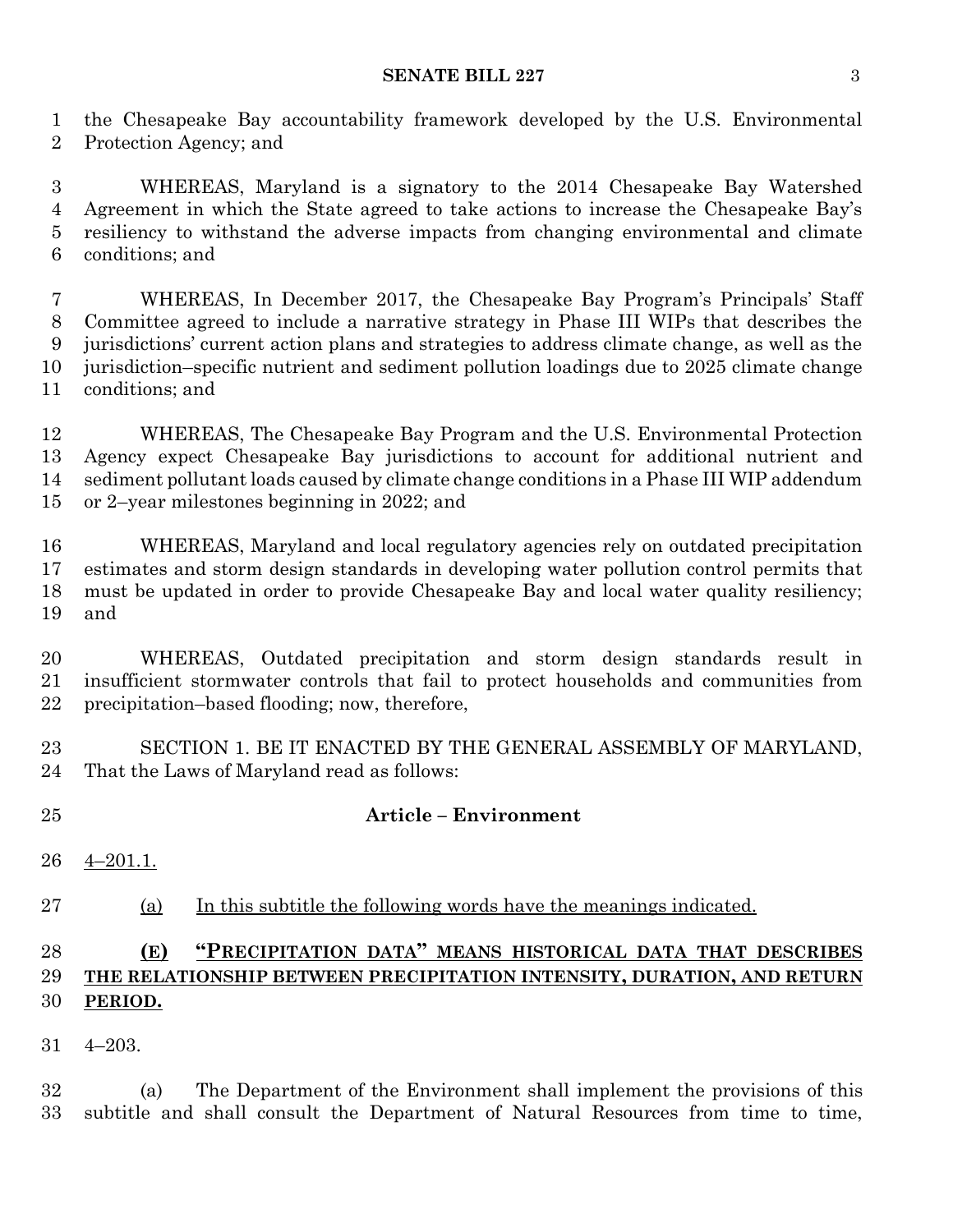#### **SENATE BILL 227** 3

 the Chesapeake Bay accountability framework developed by the U.S. Environmental Protection Agency; and

 WHEREAS, Maryland is a signatory to the 2014 Chesapeake Bay Watershed Agreement in which the State agreed to take actions to increase the Chesapeake Bay's resiliency to withstand the adverse impacts from changing environmental and climate conditions; and

 WHEREAS, In December 2017, the Chesapeake Bay Program's Principals' Staff Committee agreed to include a narrative strategy in Phase III WIPs that describes the jurisdictions' current action plans and strategies to address climate change, as well as the jurisdiction–specific nutrient and sediment pollution loadings due to 2025 climate change conditions; and

 WHEREAS, The Chesapeake Bay Program and the U.S. Environmental Protection Agency expect Chesapeake Bay jurisdictions to account for additional nutrient and sediment pollutant loads caused by climate change conditions in a Phase III WIP addendum or 2–year milestones beginning in 2022; and

 WHEREAS, Maryland and local regulatory agencies rely on outdated precipitation estimates and storm design standards in developing water pollution control permits that must be updated in order to provide Chesapeake Bay and local water quality resiliency; and

 WHEREAS, Outdated precipitation and storm design standards result in insufficient stormwater controls that fail to protect households and communities from precipitation–based flooding; now, therefore,

 SECTION 1. BE IT ENACTED BY THE GENERAL ASSEMBLY OF MARYLAND, That the Laws of Maryland read as follows:

## **Article – Environment**

4–201.1.

(a) In this subtitle the following words have the meanings indicated.

## **(E) "PRECIPITATION DATA" MEANS HISTORICAL DATA THAT DESCRIBES THE RELATIONSHIP BETWEEN PRECIPITATION INTENSITY, DURATION, AND RETURN PERIOD.**

4–203.

 (a) The Department of the Environment shall implement the provisions of this subtitle and shall consult the Department of Natural Resources from time to time,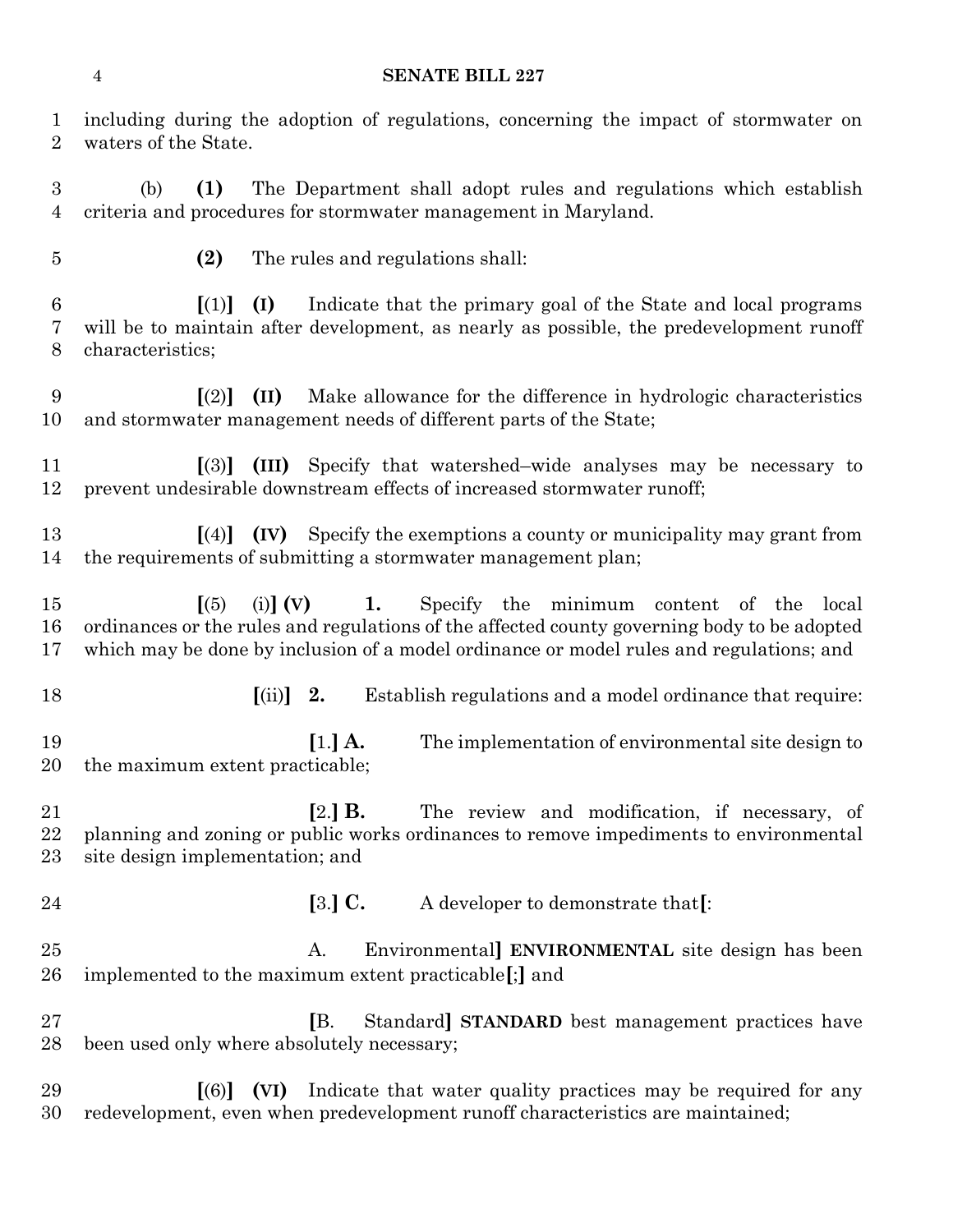including during the adoption of regulations, concerning the impact of stormwater on waters of the State.

 (b) **(1)** The Department shall adopt rules and regulations which establish criteria and procedures for stormwater management in Maryland.

**(2)** The rules and regulations shall:

 **[**(1)**] (I)** Indicate that the primary goal of the State and local programs will be to maintain after development, as nearly as possible, the predevelopment runoff characteristics;

 **[**(2)**] (II)** Make allowance for the difference in hydrologic characteristics and stormwater management needs of different parts of the State;

 **[**(3)**] (III)** Specify that watershed–wide analyses may be necessary to prevent undesirable downstream effects of increased stormwater runoff;

 **[**(4)**] (IV)** Specify the exemptions a county or municipality may grant from the requirements of submitting a stormwater management plan;

 **[**(5) (i)**] (V) 1.** Specify the minimum content of the local ordinances or the rules and regulations of the affected county governing body to be adopted which may be done by inclusion of a model ordinance or model rules and regulations; and

**[**(ii)**] 2.** Establish regulations and a model ordinance that require:

 **[**1.**] A.** The implementation of environmental site design to the maximum extent practicable;

 **[**2.**] B.** The review and modification, if necessary, of planning and zoning or public works ordinances to remove impediments to environmental site design implementation; and

**[**3.**] C.** A developer to demonstrate that**[**:

 A. Environmental**] ENVIRONMENTAL** site design has been implemented to the maximum extent practicable**[**;**]** and

 **[**B. Standard**] STANDARD** best management practices have been used only where absolutely necessary;

 **[**(6)**] (VI)** Indicate that water quality practices may be required for any redevelopment, even when predevelopment runoff characteristics are maintained;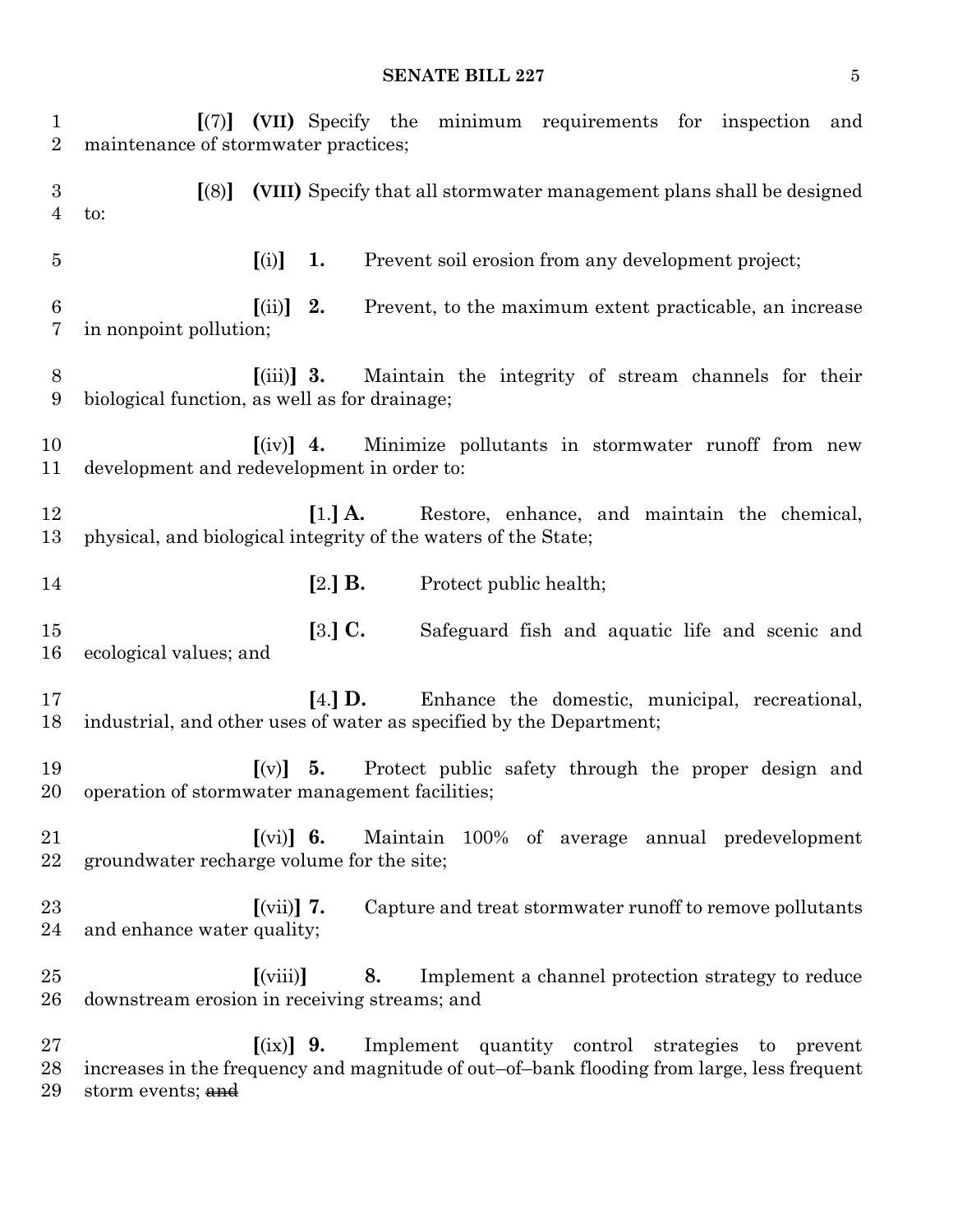#### **SENATE BILL 227** 5

 **[**(7)**] (VII)** Specify the minimum requirements for inspection and maintenance of stormwater practices; **[**(8)**] (VIII)** Specify that all stormwater management plans shall be designed to: **[**(i)**] 1.** Prevent soil erosion from any development project; **[**(ii)**] 2.** Prevent, to the maximum extent practicable, an increase in nonpoint pollution; **[**(iii)**] 3.** Maintain the integrity of stream channels for their biological function, as well as for drainage; **[**(iv)**] 4.** Minimize pollutants in stormwater runoff from new development and redevelopment in order to: **[**1.**] A.** Restore, enhance, and maintain the chemical, physical, and biological integrity of the waters of the State; **[**2.**] B.** Protect public health; **[**3.**] C.** Safeguard fish and aquatic life and scenic and ecological values; and **[**4.**] D.** Enhance the domestic, municipal, recreational, industrial, and other uses of water as specified by the Department; **[**(v)**] 5.** Protect public safety through the proper design and operation of stormwater management facilities; **[**(vi)**] 6.** Maintain 100% of average annual predevelopment groundwater recharge volume for the site; **[**(vii)**] 7.** Capture and treat stormwater runoff to remove pollutants and enhance water quality; **[**(viii)**] 8.** Implement a channel protection strategy to reduce downstream erosion in receiving streams; and **[**(ix)**] 9.** Implement quantity control strategies to prevent increases in the frequency and magnitude of out–of–bank flooding from large, less frequent 29 storm events; and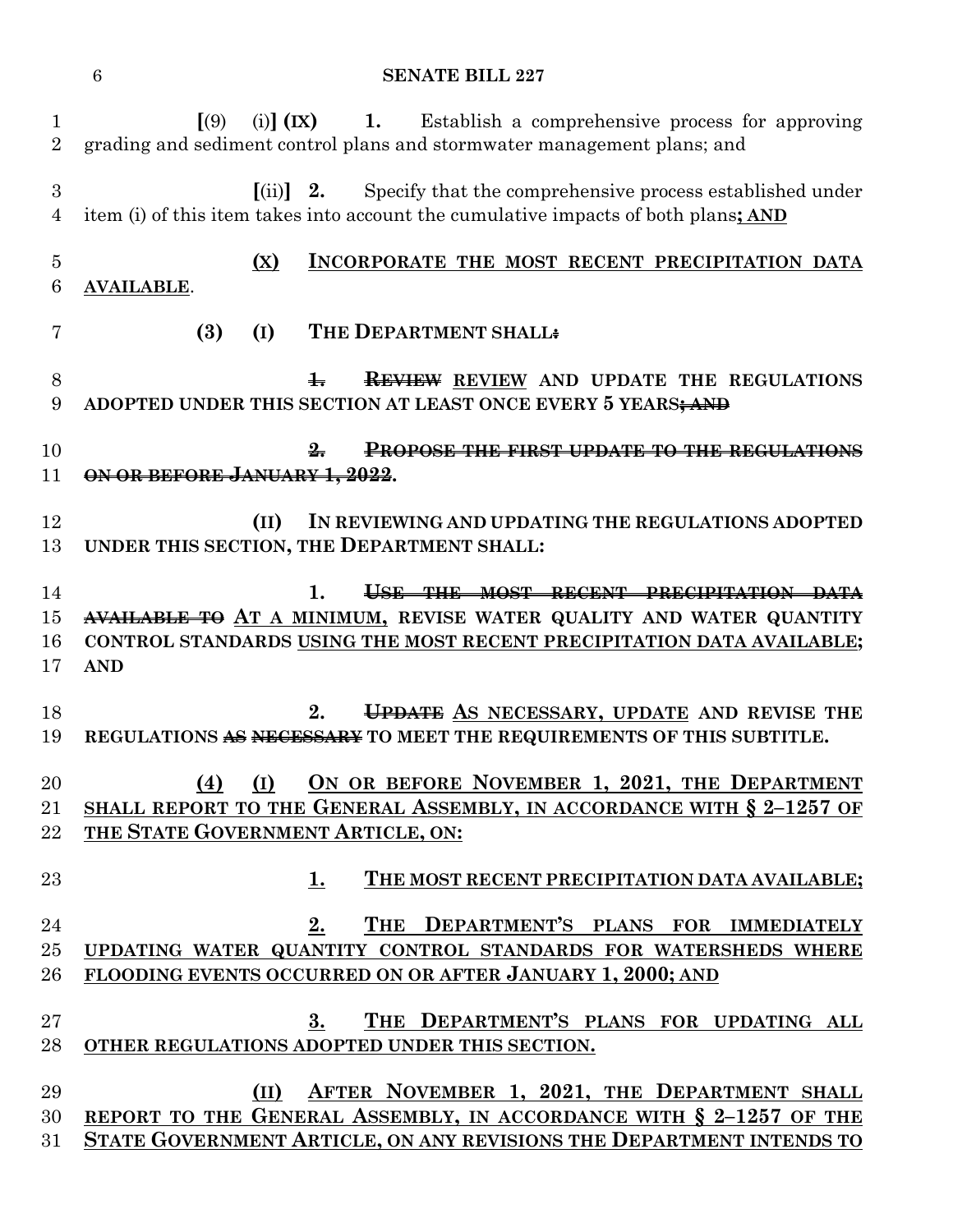| 1<br>$\overline{2}$  | (9)<br>(i) $(IX)$ 1.<br>Establish a comprehensive process for approving<br>grading and sediment control plans and stormwater management plans; and                                                        |
|----------------------|-----------------------------------------------------------------------------------------------------------------------------------------------------------------------------------------------------------|
| 3<br>4               | $\left[ \text{(ii)} \right]$ 2.<br>Specify that the comprehensive process established under<br>item (i) of this item takes into account the cumulative impacts of both plans; AND                         |
| $\overline{5}$<br>6  | INCORPORATE THE MOST RECENT PRECIPITATION DATA<br>(X)<br><b>AVAILABLE.</b>                                                                                                                                |
| 7                    | (3)<br>THE DEPARTMENT SHALL:<br>(I)                                                                                                                                                                       |
| 8<br>9               | $\ddagger$<br><b>REVIEW</b> REVIEW AND UPDATE THE REGULATIONS<br>ADOPTED UNDER THIS SECTION AT LEAST ONCE EVERY 5 YEARS; AND                                                                              |
| 10<br>11             | <b>PROPOSE THE FIRST UPDATE TO THE REGULATIONS</b><br>ON OR BEFORE JANUARY 1, 2022.                                                                                                                       |
| 12<br>13             | IN REVIEWING AND UPDATING THE REGULATIONS ADOPTED<br>(II)<br>UNDER THIS SECTION, THE DEPARTMENT SHALL:                                                                                                    |
| 14<br>15<br>16<br>17 | 1.<br>USE THE MOST RECENT PRECIPITATION DATA<br>AVAILABLE TO AT A MINIMUM, REVISE WATER QUALITY AND WATER QUANTITY<br>CONTROL STANDARDS USING THE MOST RECENT PRECIPITATION DATA AVAILABLE;<br><b>AND</b> |
| 18<br>19             | UPDATE AS NECESSARY, UPDATE AND REVISE THE<br>2.<br>REGULATIONS AS NECESSARY TO MEET THE REQUIREMENTS OF THIS SUBTITLE.                                                                                   |
| 20<br>21<br>22       | ON OR BEFORE NOVEMBER 1, 2021, THE DEPARTMENT<br>(4)<br>(I)<br>SHALL REPORT TO THE GENERAL ASSEMBLY, IN ACCORDANCE WITH § 2-1257 OF<br>THE STATE GOVERNMENT ARTICLE, ON:                                  |
| 23                   | THE MOST RECENT PRECIPITATION DATA AVAILABLE;<br>1.                                                                                                                                                       |
| 24<br>25<br>26       | THE DEPARTMENT'S PLANS FOR IMMEDIATELY<br><u>2.</u><br>UPDATING WATER QUANTITY CONTROL STANDARDS FOR WATERSHEDS WHERE<br>FLOODING EVENTS OCCURRED ON OR AFTER JANUARY 1, 2000; AND                        |
| 27<br>28             | THE DEPARTMENT'S PLANS FOR UPDATING ALL<br>$3_{\cdot}$<br>OTHER REGULATIONS ADOPTED UNDER THIS SECTION.                                                                                                   |
| 29<br>30<br>31       | AFTER NOVEMBER 1, 2021, THE DEPARTMENT SHALL<br>(II)<br>REPORT TO THE GENERAL ASSEMBLY, IN ACCORDANCE WITH § 2-1257 OF THE<br>STATE GOVERNMENT ARTICLE, ON ANY REVISIONS THE DEPARTMENT INTENDS TO        |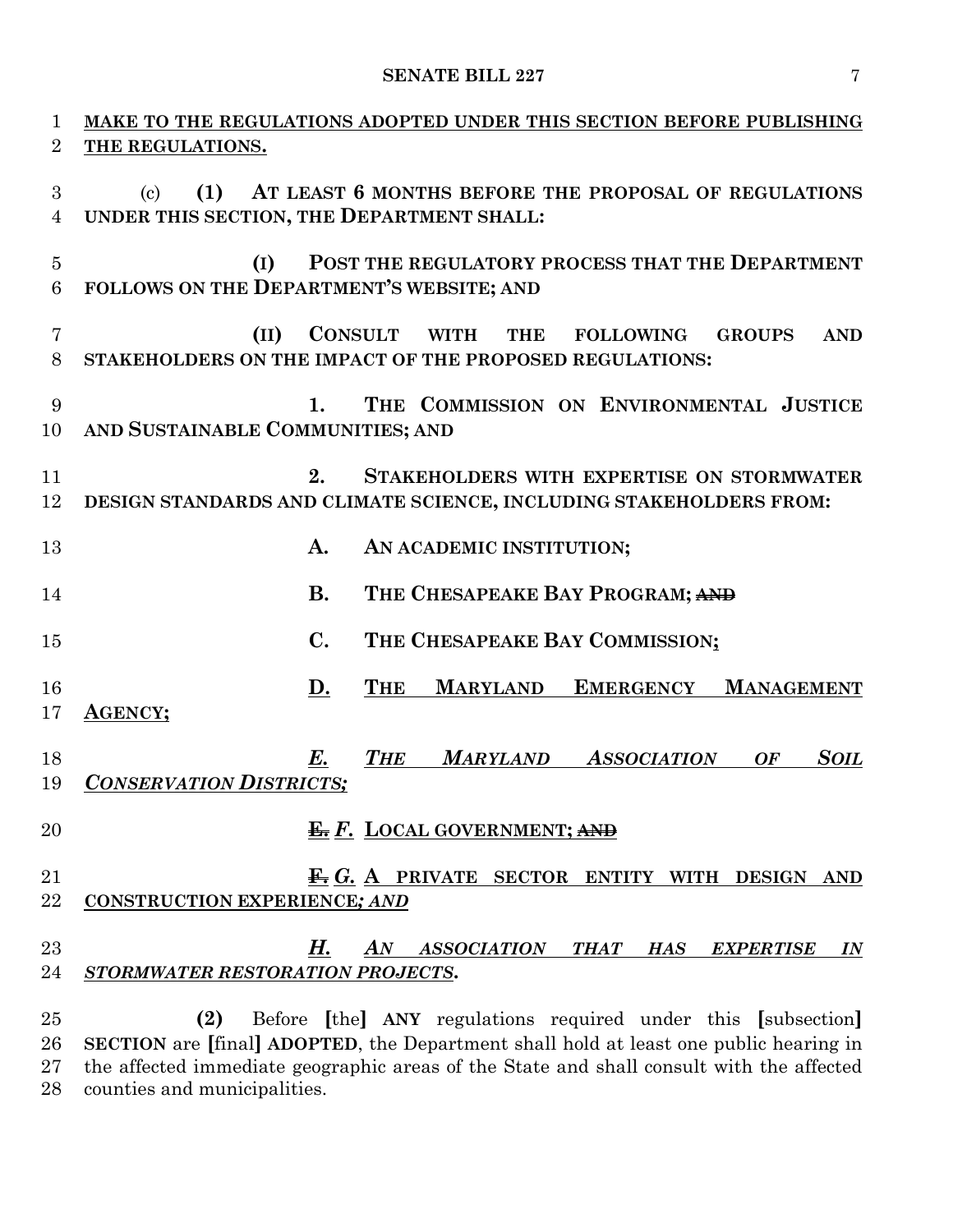| 1                   | MAKE TO THE REGULATIONS ADOPTED UNDER THIS SECTION BEFORE PUBLISHING                                                                                              |
|---------------------|-------------------------------------------------------------------------------------------------------------------------------------------------------------------|
| $\overline{2}$      | THE REGULATIONS.                                                                                                                                                  |
| 3<br>$\overline{4}$ | AT LEAST 6 MONTHS BEFORE THE PROPOSAL OF REGULATIONS<br>(1)<br>$\left( \mathrm{c}\right)$<br>UNDER THIS SECTION, THE DEPARTMENT SHALL:                            |
| $\overline{5}$<br>6 | POST THE REGULATORY PROCESS THAT THE DEPARTMENT<br>(I)<br>FOLLOWS ON THE DEPARTMENT'S WEBSITE; AND                                                                |
| $\overline{7}$<br>8 | <b>CONSULT</b><br>(II)<br><b>WITH</b><br><b>GROUPS</b><br><b>THE</b><br><b>FOLLOWING</b><br><b>AND</b><br>STAKEHOLDERS ON THE IMPACT OF THE PROPOSED REGULATIONS: |
| 9<br>10             | THE COMMISSION ON ENVIRONMENTAL JUSTICE<br>1.<br>AND SUSTAINABLE COMMUNITIES; AND                                                                                 |
| 11<br>12            | 2.<br><b>STAKEHOLDERS WITH EXPERTISE ON STORMWATER</b><br>DESIGN STANDARDS AND CLIMATE SCIENCE, INCLUDING STAKEHOLDERS FROM:                                      |
| 13                  | A.<br>AN ACADEMIC INSTITUTION;                                                                                                                                    |
| 14                  | <b>B.</b><br>THE CHESAPEAKE BAY PROGRAM; AND                                                                                                                      |
| 15                  | $\mathbf{C}$ .<br>THE CHESAPEAKE BAY COMMISSION;                                                                                                                  |
| 16<br>17            | <b>THE</b><br><b>MARYLAND</b><br><b>EMERGENCY</b><br><u>D.</u><br><b>MANAGEMENT</b><br><b>AGENCY;</b>                                                             |
| 18<br>19            | <b>THE</b><br><b>MARYLAND</b><br><b>ASSOCIATION</b><br><b>SOIL</b><br>E.<br><b>OF</b><br><b>CONSERVATION DISTRICTS;</b>                                           |
| 20                  | <b>E.</b> F. LOCAL GOVERNMENT; AND                                                                                                                                |
| 21<br>22            | $\mathbf{\mathbf{\mathbf{\mathsf{\mathfrak{F}}}}}$ G. A PRIVATE SECTOR ENTITY WITH DESIGN AND<br><b>CONSTRUCTION EXPERIENCE; AND</b>                              |
| 23<br>24            | Н.<br>AN ASSOCIATION THAT HAS<br><b>EXPERTISE</b><br>$\overline{\mathit{IN}}$<br>STORMWATER RESTORATION PROJECTS.                                                 |
| 25                  | (2)<br>Before [the] ANY regulations required under this [subsection]<br>26 SECTION are [final] ADOPTED, the Department shall hold at least one public hearing in  |

 **SECTION** are **[**final**] ADOPTED**, the Department shall hold at least one public hearing in the affected immediate geographic areas of the State and shall consult with the affected counties and municipalities.